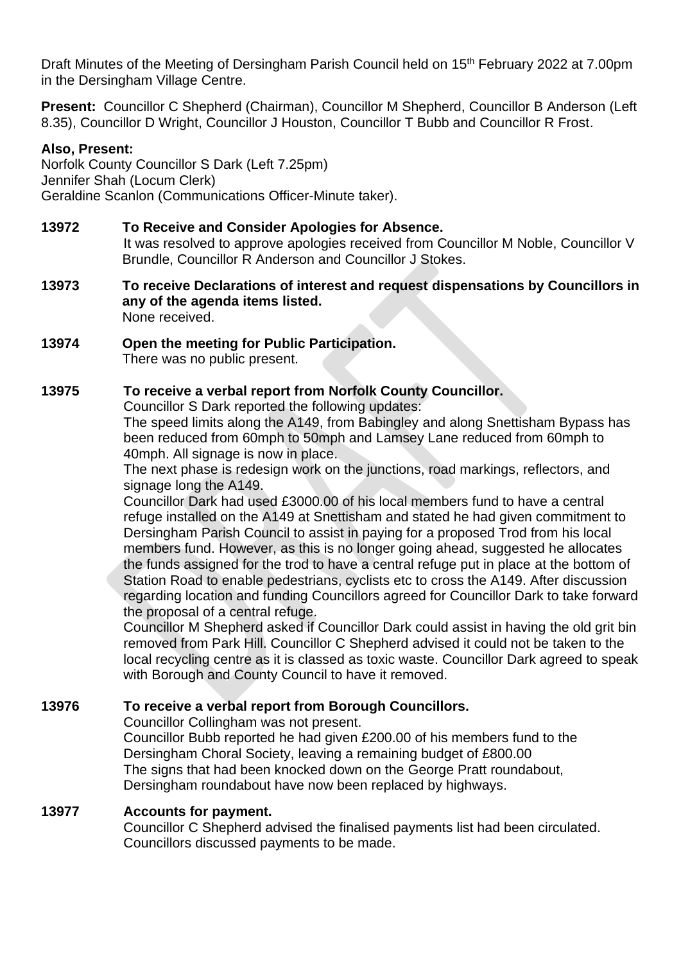Draft Minutes of the Meeting of Dersingham Parish Council held on 15<sup>th</sup> February 2022 at 7.00pm in the Dersingham Village Centre.

**Present:** Councillor C Shepherd (Chairman), Councillor M Shepherd, Councillor B Anderson (Left 8.35), Councillor D Wright, Councillor J Houston, Councillor T Bubb and Councillor R Frost.

## **Also, Present:**

Norfolk County Councillor S Dark (Left 7.25pm) Jennifer Shah (Locum Clerk) Geraldine Scanlon (Communications Officer-Minute taker).

## **13972 To Receive and Consider Apologies for Absence.**

It was resolved to approve apologies received from Councillor M Noble, Councillor V Brundle, Councillor R Anderson and Councillor J Stokes.

- **13973 To receive Declarations of interest and request dispensations by Councillors in any of the agenda items listed.** None received.
- **13974 Open the meeting for Public Participation.**  There was no public present.

## **13975 To receive a verbal report from Norfolk County Councillor.**

Councillor S Dark reported the following updates:

The speed limits along the A149, from Babingley and along Snettisham Bypass has been reduced from 60mph to 50mph and Lamsey Lane reduced from 60mph to 40mph. All signage is now in place.

The next phase is redesign work on the junctions, road markings, reflectors, and signage long the A149.

Councillor Dark had used £3000.00 of his local members fund to have a central refuge installed on the A149 at Snettisham and stated he had given commitment to Dersingham Parish Council to assist in paying for a proposed Trod from his local members fund. However, as this is no longer going ahead, suggested he allocates the funds assigned for the trod to have a central refuge put in place at the bottom of Station Road to enable pedestrians, cyclists etc to cross the A149. After discussion regarding location and funding Councillors agreed for Councillor Dark to take forward the proposal of a central refuge.

Councillor M Shepherd asked if Councillor Dark could assist in having the old grit bin removed from Park Hill. Councillor C Shepherd advised it could not be taken to the local recycling centre as it is classed as toxic waste. Councillor Dark agreed to speak with Borough and County Council to have it removed.

## **13976 To receive a verbal report from Borough Councillors.**

Councillor Collingham was not present.

Councillor Bubb reported he had given £200.00 of his members fund to the Dersingham Choral Society, leaving a remaining budget of £800.00 The signs that had been knocked down on the George Pratt roundabout, Dersingham roundabout have now been replaced by highways.

## **13977 Accounts for payment.**

Councillor C Shepherd advised the finalised payments list had been circulated. Councillors discussed payments to be made.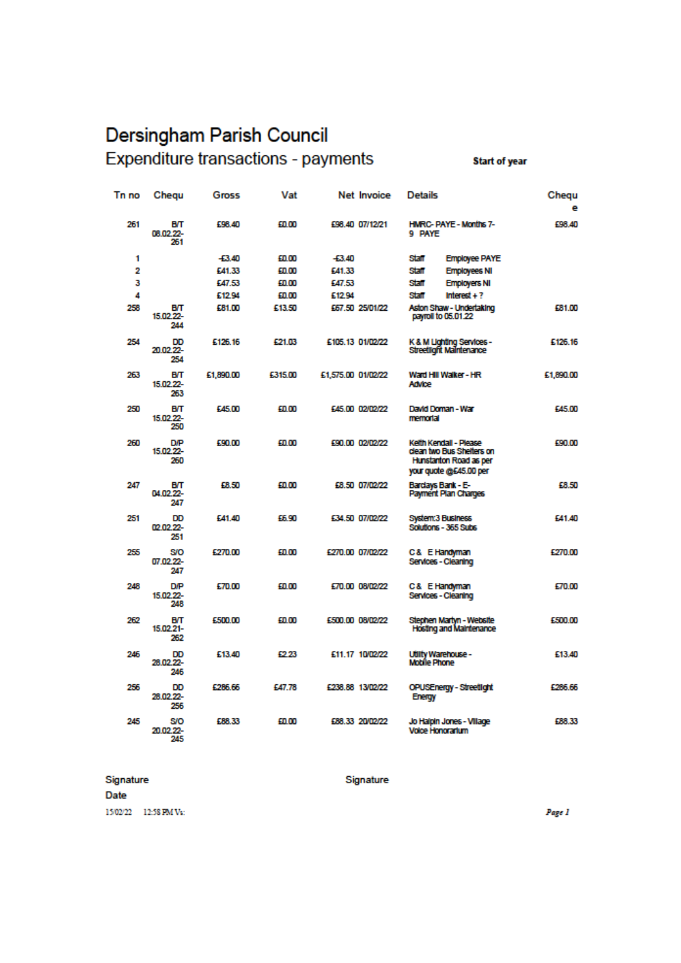# Dersingham Parish Council Expenditure transactions - payments

**Start of year** 

| Tn no | Chequ                          | Gross     | Vat     | Net Invoice        | <b>Details</b>                                                                                          | Chequ<br>е |
|-------|--------------------------------|-----------|---------|--------------------|---------------------------------------------------------------------------------------------------------|------------|
| 261   | вт<br>08.02.22-<br>261         | £98.40    | £0.00   | £98.40 07/12/21    | <b>HMRC-PAYE - Months 7-</b><br>9 PAYE                                                                  | £98.40     |
| 1     |                                | $+3.40$   | £0.00   | $+3.40$            | Staff<br><b>Employee PAYE</b>                                                                           |            |
| 2     |                                | £41.33    | £0.00   | E41.33             | <b>Staff</b><br><b>Employees NI</b>                                                                     |            |
| 3     |                                | £47.53    | 60.00   | £47.53             | Staff<br><b>Employers NI</b>                                                                            |            |
| 4     |                                | £12.94    | £0.00   | £12.94             | Staff<br>Interest $+$ ?                                                                                 |            |
| 258   | вт<br>15.02.22-<br>244         | £81.00    | £13.50  | 567.50 25/01/22    | Aston Shaw - Undertaking<br>payroll to 05.01.22                                                         | £81.00     |
| 254   | DD<br>20.02.22-<br>254         | £126.16   | £21.03  | £105.13 01/02/22   | K & M Lighting Services -<br>Streetlight Maintenance                                                    | £126.16    |
| 263   | вт<br>15.02.22-<br>263         | £1,890.00 | £315.00 | £1,575.00 01/02/22 | Ward Hill Walker - HR<br>Advice                                                                         | £1,890.00  |
| 250   | BЛ<br>15.02.22-<br>250         | £45.00    | £0.00   | £45.00 02/02/22    | David Doman - War<br>memorial                                                                           | £45.00     |
| 260   | <b>D/P</b><br>15.02.22-<br>260 | 590.00    | £0.00   | 590.00 02/02/22    | Kelth Kendall - Please<br>clean two Bus Shelters on<br>Hunstanton Road as per<br>your quote @£45.00 per | £90.00     |
| 247   | вт<br>04.02.22-<br>247         | £8.50     | £0.00   | £8.50 07/02/22     | Bardays Bank - E-<br>Payment Plan Charges                                                               | £8.50      |
| 251   | DD<br>02.02.22-<br>251         | £41.40    | 55.90   | £34.50 07/02/22    | System:3 Business<br>Solutions - 365 Subs                                                               | £41.40     |
| 255   | SO<br>07.02.22-<br>247         | £270.00   | £0.00   | £270.00 07/02/22   | C& E Handyman<br>Services - Cleaning                                                                    | £270.00    |
| 248   | <b>D/P</b><br>15.02.22-<br>248 | £70.00    | £0.00   | £70.00 08/02/22    | C& E Handyman<br>Services - Cleaning                                                                    | £70.00     |
| 262   | BП<br>15.02.21-<br>262         | £500.00   | £0.00   | £500.00 08/02/22   | Stephen Martyn - Website<br><b>Hosting and Maintenance</b>                                              | £500.00    |
| 246   | DD<br>28.02.22-<br>246         | £13.40    | 42.23   | £11.17 10/02/22    | Utility Warehouse -<br>Mobile Phone                                                                     | £13.40     |
| 256   | DD<br>28.02.22-<br>256         | £286.66   | £47.78  | £238,88 13/02/22   | OPUSEnergy - Streetlight<br>Energy                                                                      | £266.66    |
| 245   | SO<br>20.02.22-<br>245         | 688.33    | 40.OO   | £88.33 20/02/22    | Jo Halpin Jones - Village<br><b>Voice Honorarium</b>                                                    | £88.33     |

#### Signature

Date 15/02/22 12:58 PM Vs: Signature

Page 1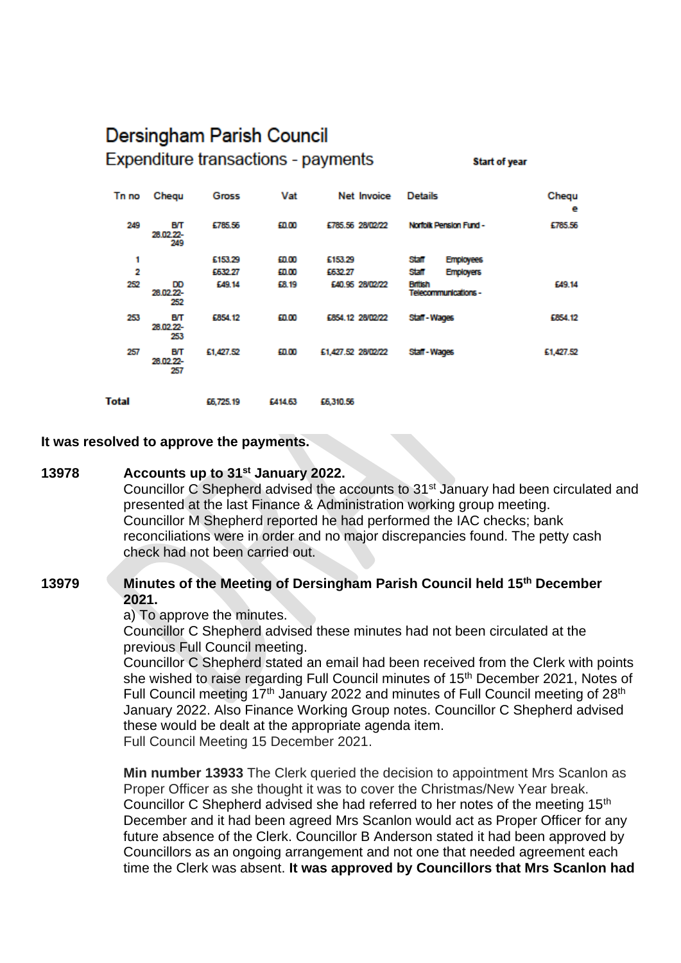## Dersingham Parish Council **Expenditure transactions - payments**

**Start of year** 

| Tn no        | Chequ                  | <b>Gross</b> | Vat     |                    | Net Invoice     | <b>Details</b><br>Norfolk Pension Fund - |                  | Chequ<br>е |
|--------------|------------------------|--------------|---------|--------------------|-----------------|------------------------------------------|------------------|------------|
| 249          | BП<br>28.02.22-<br>249 | £785.56      | £0.00   | £785.56 28/02/22   |                 |                                          |                  | £785.56    |
| 1            |                        | £153.29      | £0.00   | £153.29            |                 | Staff                                    | <b>Employees</b> |            |
| 2            |                        | £632.27      | £0.00   | £632.27            |                 | Staff                                    | <b>Employers</b> |            |
| 252          | DD<br>28.02.22-<br>252 | £49.14       | £8.19   |                    | £40.95 28/02/22 | <b>British</b><br>Telecommunications -   |                  | £49.14     |
| 253          | BП<br>28.02.22-<br>253 | £854.12      | £0.00   | £854.12 28/02/22   |                 | Staff-Wages                              |                  | £854.12    |
| 257          | BП<br>28.02.22-<br>257 | £1,427.52    | £0.00   | £1,427.52 28/02/22 |                 | Staff-Wages                              |                  | £1,427.52  |
| <b>Total</b> |                        | £6,725.19    | £414.63 | £6,310.56          |                 |                                          |                  |            |

## **It was resolved to approve the payments.**

#### **13978 Accounts up to 31st January 2022.**

Councillor C Shepherd advised the accounts to 31<sup>st</sup> January had been circulated and presented at the last Finance & Administration working group meeting. Councillor M Shepherd reported he had performed the IAC checks; bank reconciliations were in order and no major discrepancies found. The petty cash check had not been carried out.

## **13979 Minutes of the Meeting of Dersingham Parish Council held 15th December 2021.**

a) To approve the minutes.

Councillor C Shepherd advised these minutes had not been circulated at the previous Full Council meeting.

Councillor C Shepherd stated an email had been received from the Clerk with points she wished to raise regarding Full Council minutes of 15<sup>th</sup> December 2021, Notes of Full Council meeting 17<sup>th</sup> January 2022 and minutes of Full Council meeting of 28<sup>th</sup> January 2022. Also Finance Working Group notes. Councillor C Shepherd advised these would be dealt at the appropriate agenda item. Full Council Meeting 15 December 2021.

**Min number 13933** The Clerk queried the decision to appointment Mrs Scanlon as Proper Officer as she thought it was to cover the Christmas/New Year break. Councillor C Shepherd advised she had referred to her notes of the meeting 15<sup>th</sup> December and it had been agreed Mrs Scanlon would act as Proper Officer for any future absence of the Clerk. Councillor B Anderson stated it had been approved by Councillors as an ongoing arrangement and not one that needed agreement each time the Clerk was absent. **It was approved by Councillors that Mrs Scanlon had**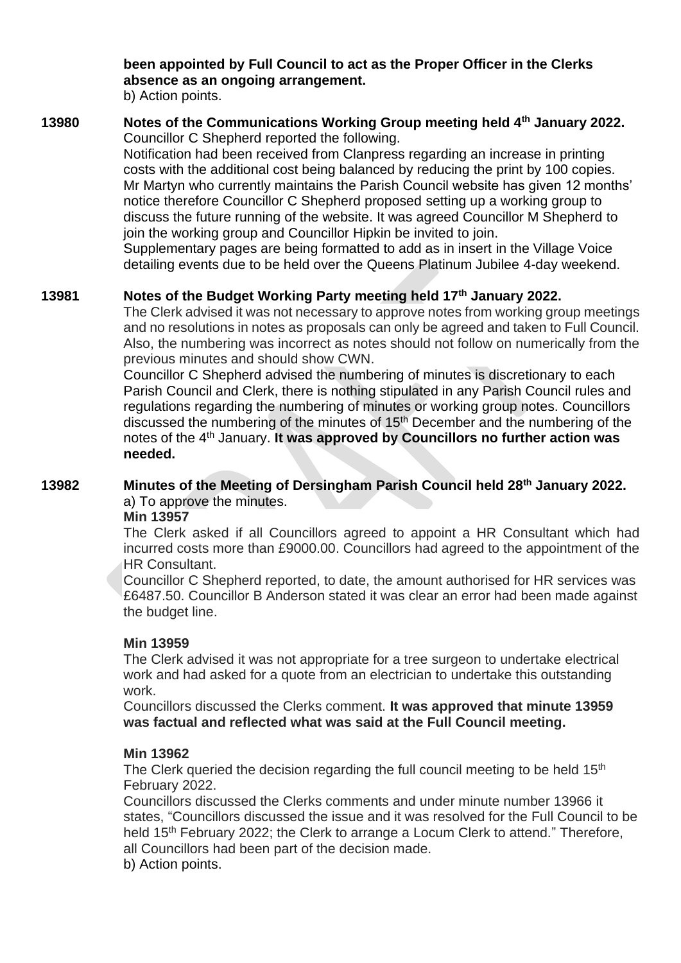## **been appointed by Full Council to act as the Proper Officer in the Clerks absence as an ongoing arrangement.**

b) Action points.

## **13980 Notes of the Communications Working Group meeting held 4th January 2022.** Councillor C Shepherd reported the following.

Notification had been received from Clanpress regarding an increase in printing costs with the additional cost being balanced by reducing the print by 100 copies. Mr Martyn who currently maintains the Parish Council website has given 12 months' notice therefore Councillor C Shepherd proposed setting up a working group to discuss the future running of the website. It was agreed Councillor M Shepherd to join the working group and Councillor Hipkin be invited to join.

Supplementary pages are being formatted to add as in insert in the Village Voice detailing events due to be held over the Queens Platinum Jubilee 4-day weekend.

## **13981 Notes of the Budget Working Party meeting held 17th January 2022.**

The Clerk advised it was not necessary to approve notes from working group meetings and no resolutions in notes as proposals can only be agreed and taken to Full Council. Also, the numbering was incorrect as notes should not follow on numerically from the previous minutes and should show CWN.

Councillor C Shepherd advised the numbering of minutes is discretionary to each Parish Council and Clerk, there is nothing stipulated in any Parish Council rules and regulations regarding the numbering of minutes or working group notes. Councillors discussed the numbering of the minutes of 15<sup>th</sup> December and the numbering of the notes of the 4th January. **It was approved by Councillors no further action was needed.**

## **13982 Minutes of the Meeting of Dersingham Parish Council held 28th January 2022.**  a) To approve the minutes.

**Min 13957**

The Clerk asked if all Councillors agreed to appoint a HR Consultant which had incurred costs more than £9000.00. Councillors had agreed to the appointment of the HR Consultant.

Councillor C Shepherd reported, to date, the amount authorised for HR services was £6487.50. Councillor B Anderson stated it was clear an error had been made against the budget line.

## **Min 13959**

The Clerk advised it was not appropriate for a tree surgeon to undertake electrical work and had asked for a quote from an electrician to undertake this outstanding work.

Councillors discussed the Clerks comment. **It was approved that minute 13959 was factual and reflected what was said at the Full Council meeting.**

## **Min 13962**

The Clerk queried the decision regarding the full council meeting to be held 15<sup>th</sup> February 2022.

Councillors discussed the Clerks comments and under minute number 13966 it states, "Councillors discussed the issue and it was resolved for the Full Council to be held 15<sup>th</sup> February 2022; the Clerk to arrange a Locum Clerk to attend." Therefore, all Councillors had been part of the decision made.

b) Action points.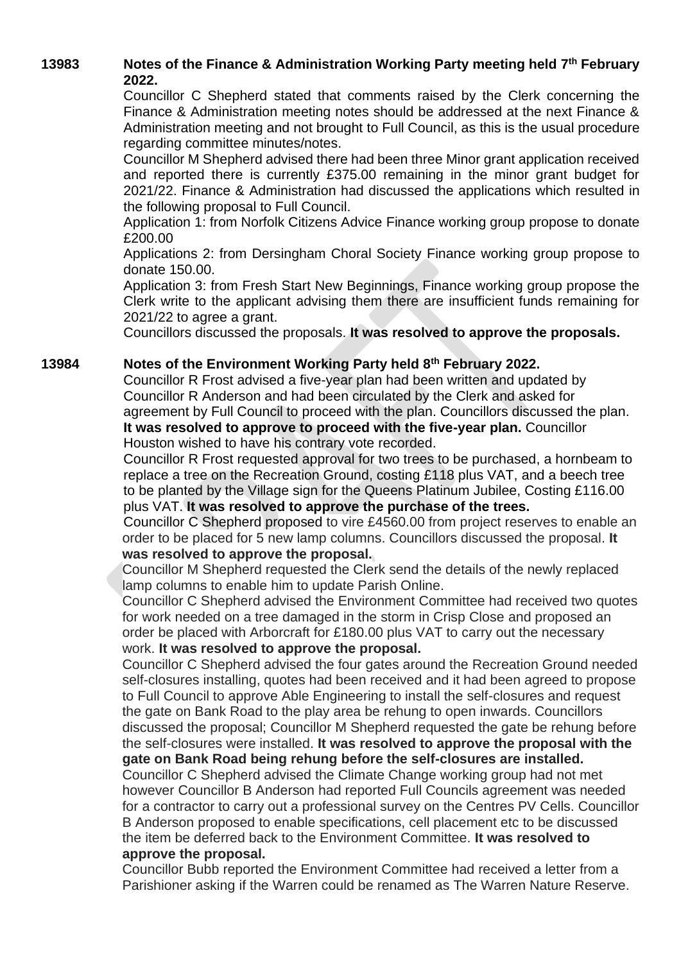## **13983 Notes of the Finance & Administration Working Party meeting held 7 th February 2022.**

Councillor C Shepherd stated that comments raised by the Clerk concerning the Finance & Administration meeting notes should be addressed at the next Finance & Administration meeting and not brought to Full Council, as this is the usual procedure regarding committee minutes/notes.

Councillor M Shepherd advised there had been three Minor grant application received and reported there is currently £375.00 remaining in the minor grant budget for 2021/22. Finance & Administration had discussed the applications which resulted in the following proposal to Full Council.

Application 1: from Norfolk Citizens Advice Finance working group propose to donate £200.00

Applications 2: from Dersingham Choral Society Finance working group propose to donate 150.00.

Application 3: from Fresh Start New Beginnings, Finance working group propose the Clerk write to the applicant advising them there are insufficient funds remaining for 2021/22 to agree a grant.

Councillors discussed the proposals. **It was resolved to approve the proposals.** 

## **13984 Notes of the Environment Working Party held 8th February 2022.**

Councillor R Frost advised a five-year plan had been written and updated by Councillor R Anderson and had been circulated by the Clerk and asked for agreement by Full Council to proceed with the plan. Councillors discussed the plan. **It was resolved to approve to proceed with the five-year plan.** Councillor Houston wished to have his contrary vote recorded.

Councillor R Frost requested approval for two trees to be purchased, a hornbeam to replace a tree on the Recreation Ground, costing £118 plus VAT, and a beech tree to be planted by the Village sign for the Queens Platinum Jubilee, Costing £116.00 plus VAT. **It was resolved to approve the purchase of the trees.**

Councillor C Shepherd proposed to vire £4560.00 from project reserves to enable an order to be placed for 5 new lamp columns. Councillors discussed the proposal. **It was resolved to approve the proposal.**

Councillor M Shepherd requested the Clerk send the details of the newly replaced lamp columns to enable him to update Parish Online.

Councillor C Shepherd advised the Environment Committee had received two quotes for work needed on a tree damaged in the storm in Crisp Close and proposed an order be placed with Arborcraft for £180.00 plus VAT to carry out the necessary work. **It was resolved to approve the proposal.**

Councillor C Shepherd advised the four gates around the Recreation Ground needed self-closures installing, quotes had been received and it had been agreed to propose to Full Council to approve Able Engineering to install the self-closures and request the gate on Bank Road to the play area be rehung to open inwards. Councillors discussed the proposal; Councillor M Shepherd requested the gate be rehung before the self-closures were installed. **It was resolved to approve the proposal with the gate on Bank Road being rehung before the self-closures are installed.** Councillor C Shepherd advised the Climate Change working group had not met however Councillor B Anderson had reported Full Councils agreement was needed for a contractor to carry out a professional survey on the Centres PV Cells. Councillor B Anderson proposed to enable specifications, cell placement etc to be discussed

the item be deferred back to the Environment Committee. **It was resolved to approve the proposal.**

Councillor Bubb reported the Environment Committee had received a letter from a Parishioner asking if the Warren could be renamed as The Warren Nature Reserve.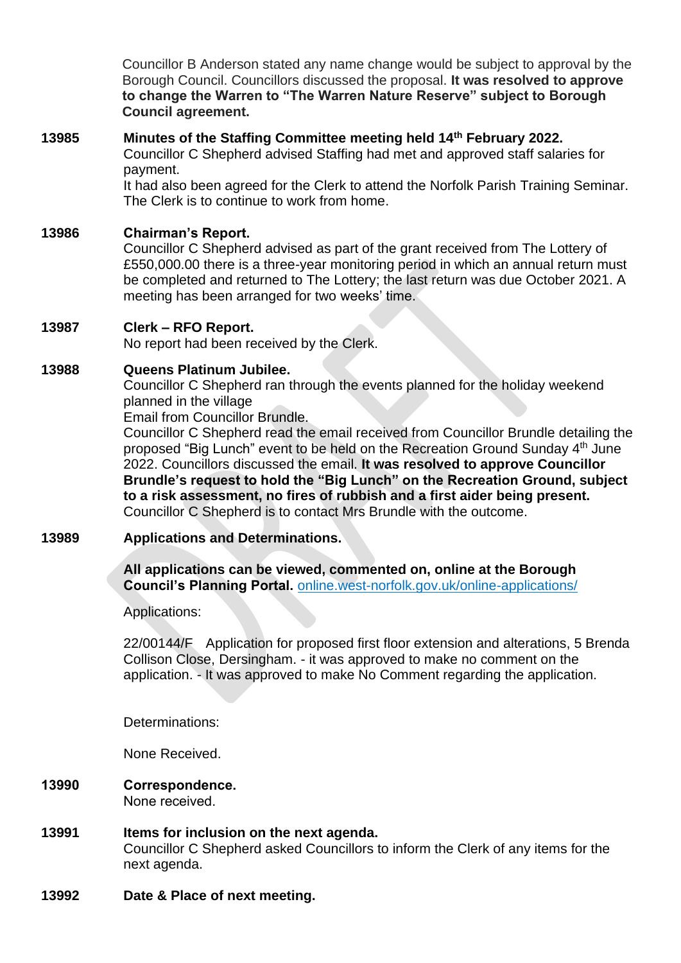Councillor B Anderson stated any name change would be subject to approval by the Borough Council. Councillors discussed the proposal. **It was resolved to approve to change the Warren to "The Warren Nature Reserve" subject to Borough Council agreement.**

## **13985 Minutes of the Staffing Committee meeting held 14th February 2022.**  Councillor C Shepherd advised Staffing had met and approved staff salaries for payment. It had also been agreed for the Clerk to attend the Norfolk Parish Training Seminar.

The Clerk is to continue to work from home.

## **13986 Chairman's Report.**

Councillor C Shepherd advised as part of the grant received from The Lottery of £550,000.00 there is a three-year monitoring period in which an annual return must be completed and returned to The Lottery; the last return was due October 2021. A meeting has been arranged for two weeks' time.

## **13987 Clerk – RFO Report.**

No report had been received by the Clerk.

## **13988 Queens Platinum Jubilee.**

Councillor C Shepherd ran through the events planned for the holiday weekend planned in the village

Email from Councillor Brundle.

Councillor C Shepherd read the email received from Councillor Brundle detailing the proposed "Big Lunch" event to be held on the Recreation Ground Sunday 4th June 2022. Councillors discussed the email. **It was resolved to approve Councillor Brundle's request to hold the "Big Lunch" on the Recreation Ground, subject to a risk assessment, no fires of rubbish and a first aider being present.** Councillor C Shepherd is to contact Mrs Brundle with the outcome.

## **13989 Applications and Determinations.**

**All applications can be viewed, commented on, online at the Borough Council's Planning Portal.** online.west-norfolk.gov.uk/online-applications/

Applications:

22/00144/F Application for proposed first floor extension and alterations, 5 Brenda Collison Close, Dersingham. - it was approved to make no comment on the application. - It was approved to make No Comment regarding the application.

Determinations:

None Received.

- **13990 Correspondence.**  None received.
- **13991 Items for inclusion on the next agenda.**  Councillor C Shepherd asked Councillors to inform the Clerk of any items for the next agenda.
- **13992 Date & Place of next meeting.**